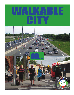## WALKABLE **GITY**